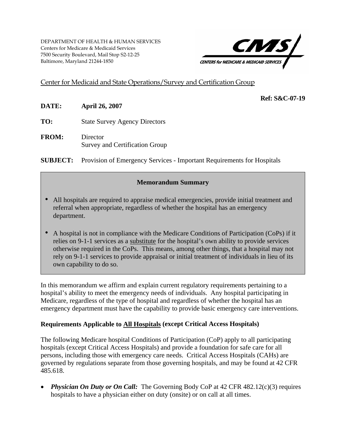

# Center for Medicaid and State Operations/Survey and Certification Group

### **Ref: S&C-07-19**

**DATE: April 26, 2007** 

**TO:** State Survey Agency Directors

**FROM:** Director Survey and Certification Group

**SUBJECT:** Provision of Emergency Services - Important Requirements for Hospitals

## **Memorandum Summary**

- All hospitals are required to appraise medical emergencies, provide initial treatment and referral when appropriate, regardless of whether the hospital has an emergency department.
- A hospital is not in compliance with the Medicare Conditions of Participation (CoPs) if it relies on 9-1-1 services as a substitute for the hospital's own ability to provide services otherwise required in the CoPs. This means, among other things, that a hospital may not rely on 9-1-1 services to provide appraisal or initial treatment of individuals in lieu of its own capability to do so.

In this memorandum we affirm and explain current regulatory requirements pertaining to a hospital's ability to meet the emergency needs of individuals. Any hospital participating in Medicare, regardless of the type of hospital and regardless of whether the hospital has an emergency department must have the capability to provide basic emergency care interventions.

## **Requirements Applicable to All Hospitals (except Critical Access Hospitals)**

The following Medicare hospital Conditions of Participation (CoP) apply to all participating hospitals (except Critical Access Hospitals) and provide a foundation for safe care for all persons, including those with emergency care needs. Critical Access Hospitals (CAHs) are governed by regulations separate from those governing hospitals, and may be found at 42 CFR 485.618.

• *Physician On Duty or On Call:* The Governing Body CoP at 42 CFR 482.12(c)(3) requires hospitals to have a physician either on duty (onsite) or on call at all times.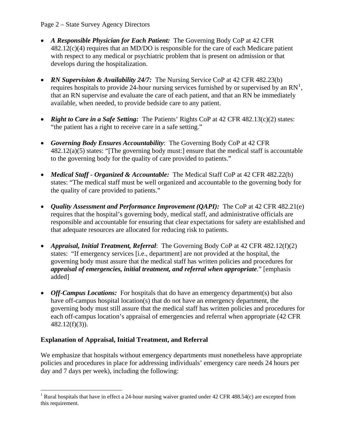### Page 2 – State Survey Agency Directors

- *A Responsible Physician for Each Patient:* The Governing Body CoP at 42 CFR  $482.12(c)(4)$  requires that an MD/DO is responsible for the care of each Medicare patient with respect to any medical or psychiatric problem that is present on admission or that develops during the hospitalization.
- *RN Supervision & Availability 24/7:* The Nursing Service CoP at 42 CFR 482.23(b) requires hospitals to provide 24-hour nursing services furnished by or supervised by an  $RN^1$  $RN^1$ , that an RN supervise and evaluate the care of each patient, and that an RN be immediately available, when needed, to provide bedside care to any patient.
- *Right to Care in a Safe Setting:* The Patients' Rights CoP at 42 CFR 482.13(c)(2) states: "the patient has a right to receive care in a safe setting."
- *Governing Body Ensures Accountability*: The Governing Body CoP at 42 CFR 482.12(a)(5) states: "[The governing body must:] ensure that the medical staff is accountable to the governing body for the quality of care provided to patients."
- *Medical Staff Organized & Accountable:* The Medical Staff CoP at 42 CFR 482.22(b) states: "The medical staff must be well organized and accountable to the governing body for the quality of care provided to patients."
- *Quality Assessment and Performance Improvement (QAPI):* The CoP at 42 CFR 482.21(e) requires that the hospital's governing body, medical staff, and administrative officials are responsible and accountable for ensuring that clear expectations for safety are established and that adequate resources are allocated for reducing risk to patients.
- *Appraisal, Initial Treatment, Referral:* The Governing Body CoP at 42 CFR 482.12(f)(2) states: "If emergency services [i.e., department] are not provided at the hospital, the governing body must assure that the medical staff has written policies and procedures for *appraisal of emergencies, initial treatment, and referral when appropriate*." [emphasis added]
- *Off-Campus Locations:* For hospitals that do have an emergency department(s) but also have off-campus hospital location(s) that do not have an emergency department, the governing body must still assure that the medical staff has written policies and procedures for each off-campus location's appraisal of emergencies and referral when appropriate (42 CFR 482.12(f)(3)).

## **Explanation of Appraisal, Initial Treatment, and Referral**

 $\overline{a}$ 

We emphasize that hospitals without emergency departments must nonetheless have appropriate policies and procedures in place for addressing individuals' emergency care needs 24 hours per day and 7 days per week), including the following:

<span id="page-1-0"></span><sup>&</sup>lt;sup>1</sup> Rural hospitals that have in effect a 24-hour nursing waiver granted under 42 CFR 488.54(c) are excepted from this requirement.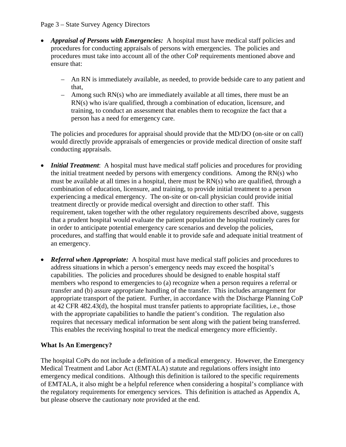#### Page 3 – State Survey Agency Directors

- *Appraisal of Persons with Emergencies:* A hospital must have medical staff policies and procedures for conducting appraisals of persons with emergencies. The policies and procedures must take into account all of the other CoP requirements mentioned above and ensure that:
	- An RN is immediately available, as needed, to provide bedside care to any patient and that,
	- Among such RN(s) who are immediately available at all times, there must be an RN(s) who is/are qualified, through a combination of education, licensure, and training, to conduct an assessment that enables them to recognize the fact that a person has a need for emergency care.

The policies and procedures for appraisal should provide that the MD/DO (on-site or on call) would directly provide appraisals of emergencies or provide medical direction of onsite staff conducting appraisals.

- *Initial Treatment*: A hospital must have medical staff policies and procedures for providing the initial treatment needed by persons with emergency conditions. Among the  $RN(s)$  who must be available at all times in a hospital, there must be RN(s) who are qualified, through a combination of education, licensure, and training, to provide initial treatment to a person experiencing a medical emergency. The on-site or on-call physician could provide initial treatment directly or provide medical oversight and direction to other staff. This requirement, taken together with the other regulatory requirements described above, suggests that a prudent hospital would evaluate the patient population the hospital routinely cares for in order to anticipate potential emergency care scenarios and develop the policies, procedures, and staffing that would enable it to provide safe and adequate initial treatment of an emergency.
- *Referral when Appropriate:* A hospital must have medical staff policies and procedures to address situations in which a person's emergency needs may exceed the hospital's capabilities. The policies and procedures should be designed to enable hospital staff members who respond to emergencies to (a) recognize when a person requires a referral or transfer and (b) assure appropriate handling of the transfer. This includes arrangement for appropriate transport of the patient. Further, in accordance with the Discharge Planning CoP at 42 CFR 482.43(d), the hospital must transfer patients to appropriate facilities, i.e., those with the appropriate capabilities to handle the patient's condition. The regulation also requires that necessary medical information be sent along with the patient being transferred. This enables the receiving hospital to treat the medical emergency more efficiently.

### **What Is An Emergency?**

The hospital CoPs do not include a definition of a medical emergency. However, the Emergency Medical Treatment and Labor Act (EMTALA) statute and regulations offers insight into emergency medical conditions. Although this definition is tailored to the specific requirements of EMTALA, it also might be a helpful reference when considering a hospital's compliance with the regulatory requirements for emergency services. This definition is attached as Appendix A, but please observe the cautionary note provided at the end.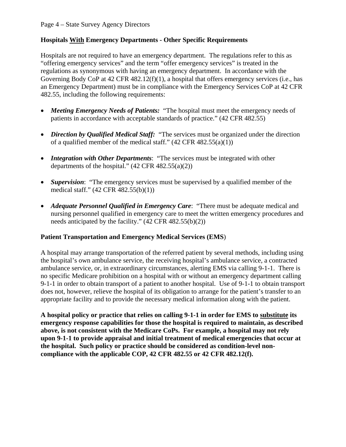## **Hospitals With Emergency Departments - Other Specific Requirements**

Hospitals are not required to have an emergency department. The regulations refer to this as "offering emergency services" and the term "offer emergency services" is treated in the regulations as synonymous with having an emergency department. In accordance with the Governing Body CoP at 42 CFR 482.12(f)(1), a hospital that offers emergency services (i.e., has an Emergency Department) must be in compliance with the Emergency Services CoP at 42 CFR 482.55, including the following requirements:

- *Meeting Emergency Needs of Patients:* "The hospital must meet the emergency needs of patients in accordance with acceptable standards of practice." (42 CFR 482.55)
- *Direction by Qualified Medical Staff:* "The services must be organized under the direction of a qualified member of the medical staff."  $(42 \text{ CFR } 482.55(a)(1))$
- *Integration with Other Departments*: "The services must be integrated with other departments of the hospital."  $(42 \text{ CFR } 482.55(a)(2))$
- *Supervision*: "The emergency services must be supervised by a qualified member of the medical staff." (42 CFR 482.55(b)(1))
- *Adequate Personnel Qualified in Emergency Care*: "There must be adequate medical and nursing personnel qualified in emergency care to meet the written emergency procedures and needs anticipated by the facility." (42 CFR 482.55(b)(2))

### **Patient Transportation and Emergency Medical Services (EMS**)

A hospital may arrange transportation of the referred patient by several methods, including using the hospital's own ambulance service, the receiving hospital's ambulance service, a contracted ambulance service, or, in extraordinary circumstances, alerting EMS via calling 9-1-1. There is no specific Medicare prohibition on a hospital with or without an emergency department calling 9-1-1 in order to obtain transport of a patient to another hospital. Use of 9-1-1 to obtain transport does not, however, relieve the hospital of its obligation to arrange for the patient's transfer to an appropriate facility and to provide the necessary medical information along with the patient.

**A hospital policy or practice that relies on calling 9-1-1 in order for EMS to substitute its emergency response capabilities for those the hospital is required to maintain, as described above, is not consistent with the Medicare CoPs. For example, a hospital may not rely upon 9-1-1 to provide appraisal and initial treatment of medical emergencies that occur at the hospital. Such policy or practice should be considered as condition-level noncompliance with the applicable COP, 42 CFR 482.55 or 42 CFR 482.12(f).**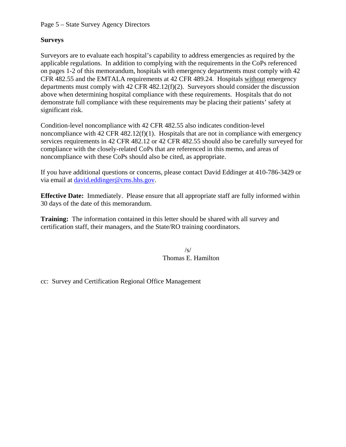# **Surveys**

Surveyors are to evaluate each hospital's capability to address emergencies as required by the applicable regulations. In addition to complying with the requirements in the CoPs referenced on pages 1-2 of this memorandum, hospitals with emergency departments must comply with 42 CFR 482.55 and the EMTALA requirements at 42 CFR 489.24. Hospitals without emergency departments must comply with 42 CFR 482.12(f)(2). Surveyors should consider the discussion above when determining hospital compliance with these requirements. Hospitals that do not demonstrate full compliance with these requirements may be placing their patients' safety at significant risk.

Condition-level noncompliance with 42 CFR 482.55 also indicates condition-level noncompliance with 42 CFR 482.12(f)(1). Hospitals that are not in compliance with emergency services requirements in 42 CFR 482.12 or 42 CFR 482.55 should also be carefully surveyed for compliance with the closely-related CoPs that are referenced in this memo, and areas of noncompliance with these CoPs should also be cited, as appropriate.

If you have additional questions or concerns, please contact David Eddinger at 410-786-3429 or via email at [david.eddinger@cms.hhs.gov.](mailto:david.eddinger@cms.hhs.gov)

**Effective Date:** Immediately. Please ensure that all appropriate staff are fully informed within 30 days of the date of this memorandum.

**Training:** The information contained in this letter should be shared with all survey and certification staff, their managers, and the State/RO training coordinators.

 $\sqrt{s}$ / Thomas E. Hamilton

cc: Survey and Certification Regional Office Management